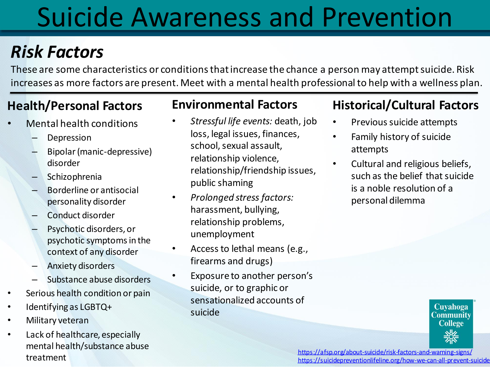# Suicide Awareness and Prevention

## *Risk Factors*

These are some characteristics or conditions that increase the chance a person may attempt suicide. Risk increases as more factors are present. Meet with a mental health professional to help with a wellness plan.

### **Health/Personal Factors**

- Mental health conditions
	- **Depression**
	- Bipolar (manic-depressive) disorder
	- Schizophrenia
	- Borderline or antisocial personality disorder
	- Conduct disorder
	- Psychotic disorders, or psychotic symptoms in the context of any disorder
	- Anxiety disorders
	- Substance abuse disorders
- Serious health condition or pain
- Identifying as LGBTQ+
- Military veteran
- Lack of healthcare, especially mental health/substance abuse treatment

### **Environmental Factors**

- *Stressful life events:* death, job loss, legal issues, finances, school, sexual assault, relationship violence, relationship/friendship issues, public shaming
- *Prolonged stress factors:*  harassment, bullying, relationship problems, unemployment
- Access to lethal means (e.g., firearms and drugs)
- Exposure to another person's suicide, or to graphic or sensationalized accounts of suicide

### **Historical/Cultural Factors**

- Previous suicide attempts
- Family history of suicide attempts
- Cultural and religious beliefs, such as the belief that suicide is a noble resolution of a personal dilemma

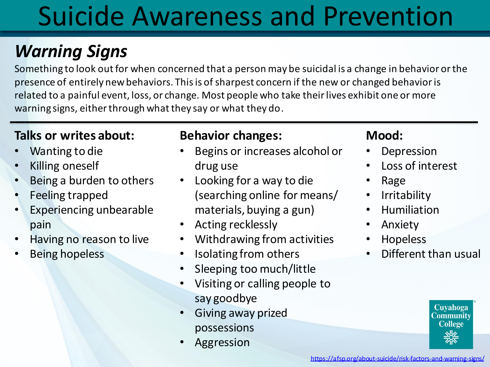## Suicide Awareness and Prevention

## *Warning Signs*

Something to look out for when concerned that a person may be suicidal is a change in behavior or the presence of entirely new behaviors. This is of sharpest concern if the new or changed behavior is related to a painful event, loss, or change. Most people who take their lives exhibit one or more warning signs, either through what they say or what they do.

### **Talks or writes about:**

- Wanting to die
- Killing oneself
- Being a burden to others
- Feeling trapped
- Experiencing unbearable pain
- Having no reason to live
- Being hopeless

#### **Behavior changes:**

- Begins or increases alcohol or drug use
- Looking for a way to die (searching online for means/ materials, buying a gun)
- Acting recklessly
- Withdrawing from activities
- Isolating from others
- Sleeping too much/little
- Visiting or calling people to say goodbye
- Giving away prized possessions
- **Aggression**

### **Mood:**

- **Depression**
- Loss of interest
- Rage
- Irritability
- Humiliation
- Anxiety
- Hopeless
- Different than usual